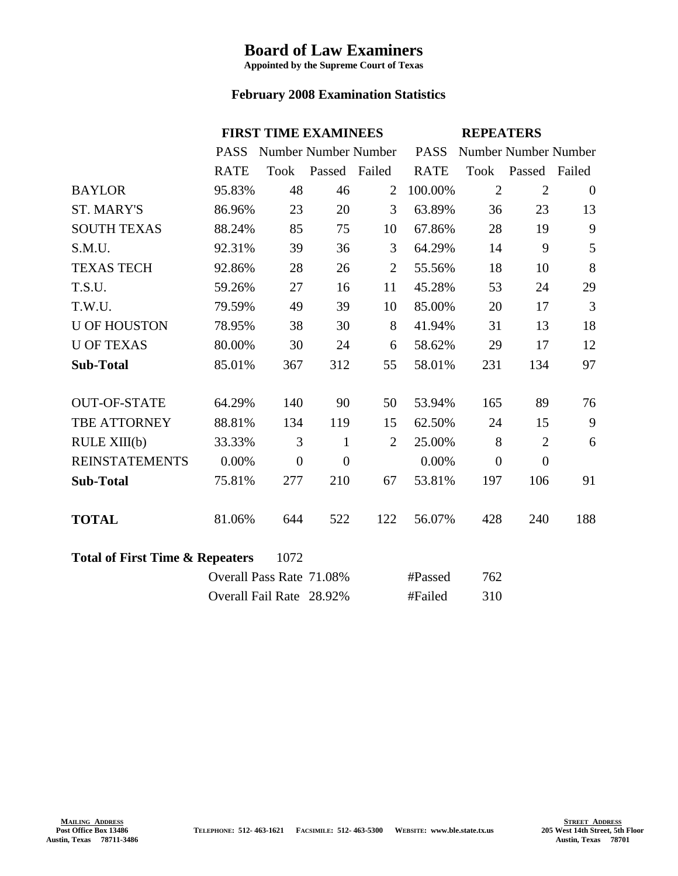## **Board of Law Examiners**

**Appointed by the Supreme Court of Texas**

## **February 2008 Examination Statistics**

|                                                    | <b>FIRST TIME EXAMINEES</b> |                          |                |                | <b>REPEATERS</b> |                      |                    |                |
|----------------------------------------------------|-----------------------------|--------------------------|----------------|----------------|------------------|----------------------|--------------------|----------------|
|                                                    | <b>PASS</b>                 | Number Number Number     |                |                | <b>PASS</b>      | Number Number Number |                    |                |
|                                                    | <b>RATE</b>                 | Took                     | Passed Failed  |                | <b>RATE</b>      |                      | Took Passed Failed |                |
| <b>BAYLOR</b>                                      | 95.83%                      | 48                       | 46             | 2              | 100.00%          | $\overline{2}$       | $\overline{2}$     | $\overline{0}$ |
| <b>ST. MARY'S</b>                                  | 86.96%                      | 23                       | 20             | 3              | 63.89%           | 36                   | 23                 | 13             |
| <b>SOUTH TEXAS</b>                                 | 88.24%                      | 85                       | 75             | 10             | 67.86%           | 28                   | 19                 | 9              |
| S.M.U.                                             | 92.31%                      | 39                       | 36             | 3              | 64.29%           | 14                   | 9                  | 5              |
| <b>TEXAS TECH</b>                                  | 92.86%                      | 28                       | 26             | $\overline{2}$ | 55.56%           | 18                   | 10                 | 8              |
| T.S.U.                                             | 59.26%                      | 27                       | 16             | 11             | 45.28%           | 53                   | 24                 | 29             |
| T.W.U.                                             | 79.59%                      | 49                       | 39             | 10             | 85.00%           | 20                   | 17                 | 3              |
| <b>U OF HOUSTON</b>                                | 78.95%                      | 38                       | 30             | 8              | 41.94%           | 31                   | 13                 | 18             |
| <b>U OF TEXAS</b>                                  | 80.00%                      | 30                       | 24             | 6              | 58.62%           | 29                   | 17                 | 12             |
| <b>Sub-Total</b>                                   | 85.01%                      | 367                      | 312            | 55             | 58.01%           | 231                  | 134                | 97             |
| <b>OUT-OF-STATE</b>                                | 64.29%                      | 140                      | 90             | 50             | 53.94%           | 165                  | 89                 | 76             |
| TBE ATTORNEY                                       | 88.81%                      | 134                      | 119            | 15             | 62.50%           | 24                   | 15                 | 9              |
| RULE XIII(b)                                       | 33.33%                      | 3                        | $\mathbf{1}$   | $\overline{2}$ | 25.00%           | 8                    | $\overline{2}$     | 6              |
| <b>REINSTATEMENTS</b>                              | 0.00%                       | $\boldsymbol{0}$         | $\overline{0}$ |                | 0.00%            | $\overline{0}$       | $\theta$           |                |
| <b>Sub-Total</b>                                   | 75.81%                      | 277                      | 210            | 67             | 53.81%           | 197                  | 106                | 91             |
| <b>TOTAL</b>                                       | 81.06%                      | 644                      | 522            | 122            | 56.07%           | 428                  | 240                | 188            |
| <b>Total of First Time &amp; Repeaters</b><br>1072 |                             |                          |                |                |                  |                      |                    |                |
|                                                    |                             | Overall Pass Rate 71.08% |                |                | #Passed          | 762                  |                    |                |
|                                                    |                             | Overall Fail Rate 28.92% |                |                | #Failed          | 310                  |                    |                |